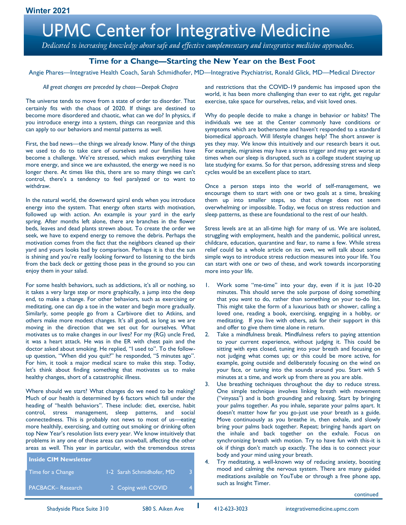Dedicated to increasing knowledge about safe and effective complementary and integrative medicine approaches.

# **Time for a Change—Starting the New Year on the Best Foot**

Angie Phares—Integrative Health Coach, Sarah Schmidhofer, MD—Integrative Psychiatrist, Ronald Glick, MD—Medical Director

#### *All great changes are preceded by chaos—Deepak Chopra*

The universe tends to move from a state of order to disorder. That certainly fits with the chaos of 2020. If things are destined to become more disordered and chaotic, what can we do? In physics, if you introduce energy into a system, things can reorganize and this can apply to our behaviors and mental patterns as well.

First, the bad news—the things we already know. Many of the things we used to do to take care of ourselves and our families have become a challenge. We're stressed, which makes everything take more energy, and since we are exhausted, the energy we need is no longer there. At times like this, there are so many things we can't control, there's a tendency to feel paralyzed or to want to withdraw.

In the natural world, the downward spiral ends when you introduce energy into the system. That energy often starts with motivation, followed up with action. An example is your yard in the early spring. After months left alone, there are branches in the flower beds, leaves and dead plants strewn about. To create the order we seek, we have to expend energy to remove the debris. Perhaps the motivation comes from the fact that the neighbors cleaned up their yard and yours looks bad by comparison. Perhaps it is that the sun is shining and you're really looking forward to listening to the birds from the back deck or getting those peas in the ground so you can enjoy them in your salad.

For some health behaviors, such as addictions, it's all or nothing, so it takes a very large step or more graphically, a jump into the deep end, to make a change. For other behaviors, such as exercising or meditating, one can dip a toe in the water and begin more gradually. Similarly, some people go from a Carbivore diet to Atkins, and others make more modest changes. It's all good, as long as we are moving in the direction that we set out for ourselves. What motivates us to make changes in our lives? For my (RG) uncle Fred, it was a heart attack. He was in the ER with chest pain and the doctor asked about smoking. He replied, "I used to". To the followup question, "When did you quit?" he responded, "5 minutes ago". For him, it took a major medical scare to make this step. Today, let's think about finding something that motivates us to make healthy changes, short of a catastrophic illness.

Where should we start? What changes do we need to be making? Much of our health is determined by 6 factors which fall under the heading of "health behaviors". These include: diet, exercise, habit control, stress management, sleep patterns, and social connectedness. This is probably not news to most of us—eating more healthily, exercising, and cutting out smoking or drinking often top New Year's resolution lists every year. We know intuitively that problems in any one of these areas can snowball, affecting the other areas as well. This year in particular, with the tremendous stress

| <b>Inside CIM Newsletter</b> |                           |  |
|------------------------------|---------------------------|--|
| Time for a Change            | 1-2 Sarah Schmidhofer, MD |  |
| PACBACK-Research             | 2 Coping with COVID       |  |

and restrictions that the COVID-19 pandemic has imposed upon the world, it has been more challenging than ever to eat right, get regular exercise, take space for ourselves, relax, and visit loved ones.

Why do people decide to make a change in behavior or habits? The individuals we see at the Center commonly have conditions or symptoms which are bothersome and haven't responded to a standard biomedical approach. Will lifestyle changes help? The short answer is yes they may. We know this intuitively and our research bears it out. For example, migraines may have a stress trigger and may get worse at times when our sleep is disrupted, such as a college student staying up late studying for exams. So for that person, addressing stress and sleep cycles would be an excellent place to start.

Once a person steps into the world of self-management, we encourage them to start with one or two goals at a time, breaking them up into smaller steps, so that change does not seem overwhelming or impossible. Today, we focus on stress reduction and sleep patterns, as these are foundational to the rest of our health.

Stress levels are at an all-time high for many of us. We are isolated, struggling with employment, health and the pandemic, political unrest, childcare, education, quarantine and fear, to name a few. While stress relief could be a whole article on its own, we will talk about some simple ways to introduce stress reduction measures into your life. You can start with one or two of these, and work towards incorporating more into your life.

- 1. Work some "me-time" into your day, even if it is just 10-20 minutes. This should serve the sole purpose of doing something that you *want* to do, rather than something on your to-do list. This might take the form of a luxurious bath or shower, calling a loved one, reading a book, exercising, engaging in a hobby, or meditating. If you live with others, ask for their support in this and offer to give them time alone in return.
- Take a mindfulness break. Mindfulness refers to paying attention to your current experience, without judging it. This could be sitting with eyes closed, tuning into your breath and focusing on not judging what comes up; or this could be more active, for example, going outside and deliberately focusing on the wind on your face, or tuning into the sounds around you. Start with 5 minutes at a time, and work up from there as you are able.
- 3. Use breathing techniques throughout the day to reduce stress. One simple technique involves linking breath with movement ("vinyasa") and is both grounding and relaxing. Start by bringing your palms together. As you inhale, separate your palms apart. It doesn't matter how far you go-just use your breath as a guide. Move continuously as you breathe in, then exhale, and slowly bring your palms back together. Repeat; bringing hands apart on the inhale and back together on the exhale. Focus on synchronizing breath with motion. Try to have fun with this-it is ok if things don't match up exactly. The idea is to connect your body and your mind using your breath.
- 4. Try meditating, a well-known way of reducing anxiety, boosting mood and calming the nervous system. There are many guided meditations available on YouTube or through a free phone app, such as Insight Timer.

continued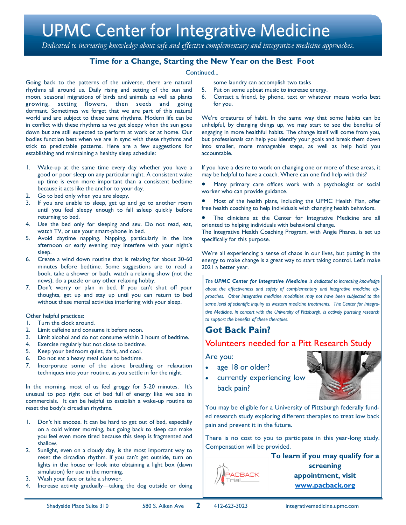Dedicated to increasing knowledge about safe and effective complementary and integrative medicine approaches.

# **Time for a Change, Starting the New Year on the Best Foot**

#### Continued...

Going back to the patterns of the universe, there are natural rhythms all around us. Daily rising and setting of the sun and moon, seasonal migrations of birds and animals as well as plants growing, setting flowers, then seeds and going dormant. Sometimes we forget that we are part of this natural world and are subject to these same rhythms. Modern life can be in conflict with these rhythms as we get sleepy when the sun goes down but are still expected to perform at work or at home. Our bodies function best when we are in sync with these rhythms and stick to predictable patterns. Here are a few suggestions for establishing and maintaining a healthy sleep schedule:

- 1. Wake-up at the same time every day whether you have a good or poor sleep on any particular night. A consistent wake up time is even more important than a consistent bedtime because it acts like the anchor to your day.
- 2. Go to bed only when you are sleepy.
- 3. If you are unable to sleep, get up and go to another room until you feel sleepy enough to fall asleep quickly before returning to bed.
- 4. Use the bed only for sleeping and sex. Do not read, eat, watch TV, or use your smart-phone in bed.
- 5. Avoid daytime napping. Napping, particularly in the late afternoon or early evening may interfere with your night's sleep.
- 6. Create a wind down routine that is relaxing for about 30-60 minutes before bedtime. Some suggestions are to read a book, take a shower or bath, watch a relaxing show (not the news), do a puzzle or any other relaxing hobby.
- 7. Don't worry or plan in bed. If you can't shut off your thoughts, get up and stay up until you can return to bed without these mental activities interfering with your sleep.

#### Other helpful practices:

- 1. Turn the clock around.
- 2. Limit caffeine and consume it before noon.
- 3. Limit alcohol and do not consume within 3 hours of bedtime.
- 4. Exercise regularly but not close to bedtime.
- 5. Keep your bedroom quiet, dark, and cool.
- 6. Do not eat a heavy meal close to bedtime.
- 7. Incorporate some of the above breathing or relaxation techniques into your routine, as you settle in for the night.

In the morning, most of us feel groggy for 5-20 minutes. It's unusual to pop right out of bed full of energy like we see in commercials. It can be helpful to establish a wake-up routine to reset the body's circadian rhythms.

- 1. Don't hit snooze. It can be hard to get out of bed, especially on a cold winter morning, but going back to sleep can make you feel even more tired because this sleep is fragmented and shallow.
- 2. Sunlight, even on a cloudy day, is the most important way to reset the circadian rhythm. If you can't get outside, turn on lights in the house or look into obtaining a light box (dawn simulation) for use in the morning.
- 3. Wash your face or take a shower.
- 4. Increase activity gradually—taking the dog outside or doing
- some laundry can accomplish two tasks
- 5. Put on some upbeat music to increase energy.
- 6. Contact a friend, by phone, text or whatever means works best for you.

We're creatures of habit. In the same way that some habits can be unhelpful, by changing things up, we may start to see the benefits of engaging in more healthful habits. The change itself will come from you, but professionals can help you identify your goals and break them down into smaller, more manageable steps, as well as help hold you accountable.

If you have a desire to work on changing one or more of these areas, it may be helpful to have a coach. Where can one find help with this?

Many primary care offices work with a psychologist or social worker who can provide guidance.

Most of the health plans, including the UPMC Health Plan, offer free health coaching to help individuals with changing health behaviors.

The clinicians at the Center for Integrative Medicine are all oriented to helping individuals with behavioral change.

The Integrative Health Coaching Program, with Angie Phares, is set up specifically for this purpose.

We're all experiencing a sense of chaos in our lives, but putting in the energy to make change is a great way to start taking control. Let's make 2021 a better year.

*The UPMC Center for Integrative Medicine is dedicated to increasing knowledge about the effectiveness and safety of complementary and integrative medicine approaches. Other integrative medicine modalities may not have been subjected to the same level of scientific inquiry as western medicine treatments. The Center for Integrative Medicine, in concert with the University of Pittsburgh, is actively pursuing research to support the benefits of these therapies.*

# **Got Back Pain?**

# Volunteers needed for a Pitt Research Study

Are you:

- age 18 or older?
- currently experiencing low back pain?



You may be eligible for a University of Pittsburgh federally funded research study exploring different therapies to treat low back pain and prevent it in the future.

There is no cost to you to participate in this year-long study. Compensation will be provided.

> **To learn if you may qualify for a screening appointment, visit www.pacback.org**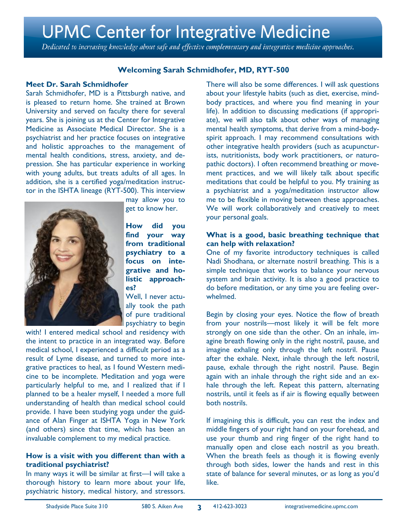Dedicated to increasing knowledge about safe and effective complementary and integrative medicine approaches.

# **Welcoming Sarah Schmidhofer, MD, RYT-500**

### **Meet Dr. Sarah Schmidhofer**

Sarah Schmidhofer, MD is a Pittsburgh native, and is pleased to return home. She trained at Brown University and served on faculty there for several years. She is joining us at the Center for Integrative Medicine as Associate Medical Director. She is a psychiatrist and her practice focuses on integrative and holistic approaches to the management of mental health conditions, stress, anxiety, and depression. She has particular experience in working with young adults, but treats adults of all ages. In addition, she is a certified yoga/meditation instructor in the ISHTA lineage (RYT-500). This interview



may allow you to get to know her.

**How did you find your way from traditional psychiatry to a focus on integrative and holistic approaches?**

Well, I never actually took the path of pure traditional psychiatry to begin

with! I entered medical school and residency with the intent to practice in an integrated way. Before medical school, I experienced a difficult period as a result of Lyme disease, and turned to more integrative practices to heal, as I found Western medicine to be incomplete. Meditation and yoga were particularly helpful to me, and I realized that if I planned to be a healer myself, I needed a more full understanding of health than medical school could provide. I have been studying yoga under the guidance of Alan Finger at ISHTA Yoga in New York (and others) since that time, which has been an invaluable complement to my medical practice.

### **How is a visit with you different than with a traditional psychiatrist?**

In many ways it will be similar at first—I will take a thorough history to learn more about your life, psychiatric history, medical history, and stressors.

There will also be some differences. I will ask questions about your lifestyle habits (such as diet, exercise, mindbody practices, and where you find meaning in your life). In addition to discussing medications (if appropriate), we will also talk about other ways of managing mental health symptoms, that derive from a mind-bodyspirit approach. I may recommend consultations with other integrative health providers (such as acupuncturists, nutritionists, body work practitioners, or naturopathic doctors). I often recommend breathing or movement practices, and we will likely talk about specific meditations that could be helpful to you. My training as a psychiatrist and a yoga/meditation instructor allow me to be flexible in moving between these approaches. We will work collaboratively and creatively to meet your personal goals.

### **What is a good, basic breathing technique that can help with relaxation?**

One of my favorite introductory techniques is called Nadi Shodhana, or alternate nostril breathing. This is a simple technique that works to balance your nervous system and brain activity. It is also a good practice to do before meditation, or any time you are feeling overwhelmed.

Begin by closing your eyes. Notice the flow of breath from your nostrils—most likely it will be felt more strongly on one side than the other. On an inhale, imagine breath flowing only in the right nostril, pause, and imagine exhaling only through the left nostril. Pause after the exhale. Next, inhale through the left nostril, pause, exhale through the right nostril. Pause. Begin again with an inhale through the right side and an exhale through the left. Repeat this pattern, alternating nostrils, until it feels as if air is flowing equally between both nostrils.

If imagining this is difficult, you can rest the index and middle fingers of your right hand on your forehead, and use your thumb and ring finger of the right hand to manually open and close each nostril as you breath. When the breath feels as though it is flowing evenly through both sides, lower the hands and rest in this state of balance for several minutes, or as long as you'd like.